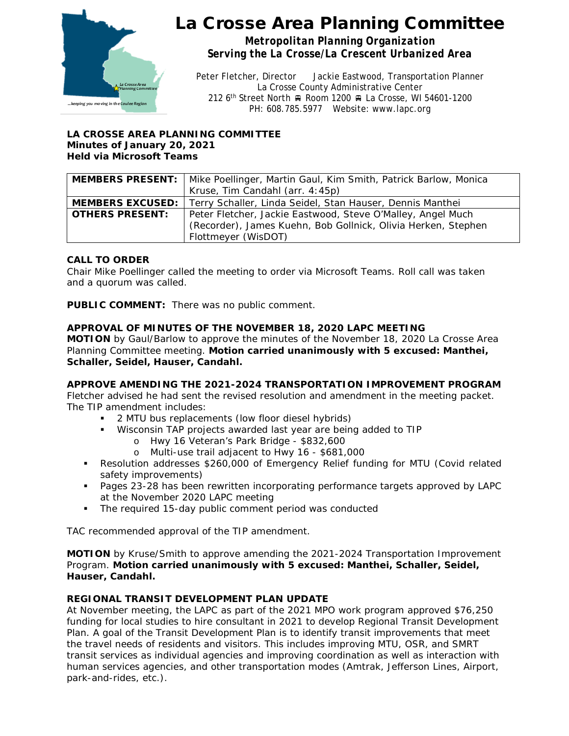

*Metropolitan Planning Organization Serving the La Crosse/La Crescent Urbanized Area*

Peter Fletcher, Director Jackie Eastwood, Transportation Planner La Crosse County Administrative Center 212 6<sup>th</sup> Street North <sub>R</sub> Room 1200 R La Crosse, WI 54601-1200 PH: 608.785.5977 Website: www.lapc.org

#### **LA CROSSE AREA PLANNING COMMITTEE Minutes of January 20, 2021 Held via Microsoft Teams**

|                        | <b>MEMBERS PRESENT:</b>   Mike Poellinger, Martin Gaul, Kim Smith, Patrick Barlow, Monica |
|------------------------|-------------------------------------------------------------------------------------------|
|                        | Kruse, Tim Candahl (arr. 4:45p)                                                           |
|                        | <b>MEMBERS EXCUSED:</b>   Terry Schaller, Linda Seidel, Stan Hauser, Dennis Manthei       |
| <b>OTHERS PRESENT:</b> | Peter Fletcher, Jackie Eastwood, Steve O'Malley, Angel Much                               |
|                        | (Recorder), James Kuehn, Bob Gollnick, Olivia Herken, Stephen                             |
|                        | Flottmeyer (WisDOT)                                                                       |

### **CALL TO ORDER**

Chair Mike Poellinger called the meeting to order via Microsoft Teams. Roll call was taken and a quorum was called.

**PUBLIC COMMENT:** There was no public comment.

### **APPROVAL OF MINUTES OF THE NOVEMBER 18, 2020 LAPC MEETING**

**MOTION** by Gaul/Barlow to approve the minutes of the November 18, 2020 La Crosse Area Planning Committee meeting. **Motion carried unanimously with 5 excused: Manthei, Schaller, Seidel, Hauser, Candahl.**

#### **APPROVE AMENDING THE 2021-2024 TRANSPORTATION IMPROVEMENT PROGRAM**

Fletcher advised he had sent the revised resolution and amendment in the meeting packet. The TIP amendment includes:

- 2 MTU bus replacements (low floor diesel hybrids)
- Wisconsin TAP projects awarded last year are being added to TIP
	- o Hwy 16 Veteran's Park Bridge \$832,600
	- o Multi-use trail adjacent to Hwy 16 \$681,000
- Resolution addresses \$260,000 of Emergency Relief funding for MTU (Covid related safety improvements)
- **Pages 23-28 has been rewritten incorporating performance targets approved by LAPC** at the November 2020 LAPC meeting
- The required 15-day public comment period was conducted

TAC recommended approval of the TIP amendment.

**MOTION** by Kruse/Smith to approve amending the 2021-2024 Transportation Improvement Program. **Motion carried unanimously with 5 excused: Manthei, Schaller, Seidel, Hauser, Candahl.**

#### **REGIONAL TRANSIT DEVELOPMENT PLAN UPDATE**

At November meeting, the LAPC as part of the 2021 MPO work program approved \$76,250 funding for local studies to hire consultant in 2021 to develop Regional Transit Development Plan. A goal of the Transit Development Plan is to identify transit improvements that meet the travel needs of residents and visitors. This includes improving MTU, OSR, and SMRT transit services as individual agencies and improving coordination as well as interaction with human services agencies, and other transportation modes (Amtrak, Jefferson Lines, Airport, park-and-rides, etc.).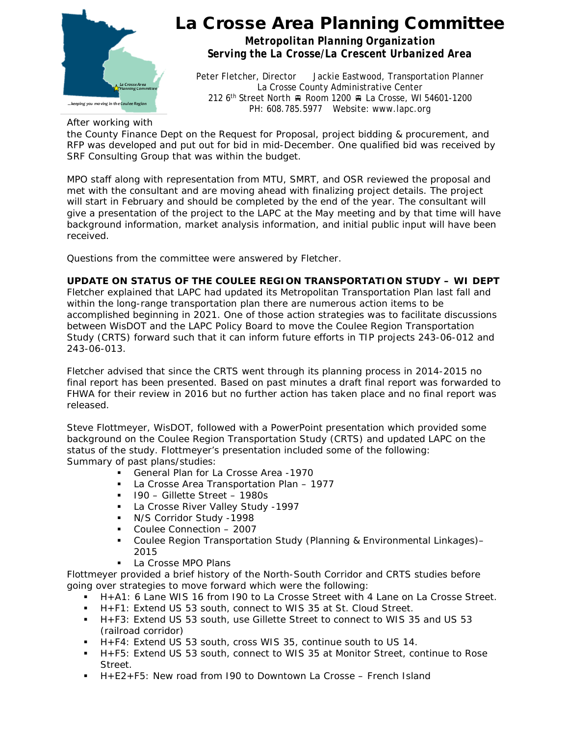

*Metropolitan Planning Organization Serving the La Crosse/La Crescent Urbanized Area*

Peter Fletcher, Director Jackie Eastwood, Transportation Planner La Crosse County Administrative Center 212 6<sup>th</sup> Street North A Room 1200 A La Crosse, WI 54601-1200 PH: 608.785.5977 Website: www.lapc.org

After working with

the County Finance Dept on the Request for Proposal, project bidding & procurement, and RFP was developed and put out for bid in mid-December. One qualified bid was received by SRF Consulting Group that was within the budget.

MPO staff along with representation from MTU, SMRT, and OSR reviewed the proposal and met with the consultant and are moving ahead with finalizing project details. The project will start in February and should be completed by the end of the year. The consultant will give a presentation of the project to the LAPC at the May meeting and by that time will have background information, market analysis information, and initial public input will have been received.

Questions from the committee were answered by Fletcher.

### **UPDATE ON STATUS OF THE COULEE REGION TRANSPORTATION STUDY – WI DEPT**

Fletcher explained that LAPC had updated its Metropolitan Transportation Plan last fall and within the long-range transportation plan there are numerous action items to be accomplished beginning in 2021. One of those action strategies was to facilitate discussions between WisDOT and the LAPC Policy Board to move the Coulee Region Transportation Study (CRTS) forward such that it can inform future efforts in TIP projects 243-06-012 and 243-06-013.

Fletcher advised that since the CRTS went through its planning process in 2014-2015 no final report has been presented. Based on past minutes a draft final report was forwarded to FHWA for their review in 2016 but no further action has taken place and no final report was released.

Steve Flottmeyer, WisDOT, followed with a PowerPoint presentation which provided some background on the Coulee Region Transportation Study (CRTS) and updated LAPC on the status of the study. Flottmeyer's presentation included some of the following: Summary of past plans/studies:

- General Plan for La Crosse Area -1970
- La Crosse Area Transportation Plan 1977
- $\blacksquare$  I90 Gillette Street 1980s
- La Crosse River Valley Study -1997
- **N/S Corridor Study -1998**
- Coulee Connection 2007
- Coulee Region Transportation Study (Planning & Environmental Linkages)– 2015
- La Crosse MPO Plans

Flottmeyer provided a brief history of the North-South Corridor and CRTS studies before going over strategies to move forward which were the following:

- H+A1: 6 Lane WIS 16 from I90 to La Crosse Street with 4 Lane on La Crosse Street.
- H+F1: Extend US 53 south, connect to WIS 35 at St. Cloud Street.
- H+F3: Extend US 53 south, use Gillette Street to connect to WIS 35 and US 53 (railroad corridor)
- H+F4: Extend US 53 south, cross WIS 35, continue south to US 14.
- H+F5: Extend US 53 south, connect to WIS 35 at Monitor Street, continue to Rose Street.
- H+E2+F5: New road from 190 to Downtown La Crosse French Island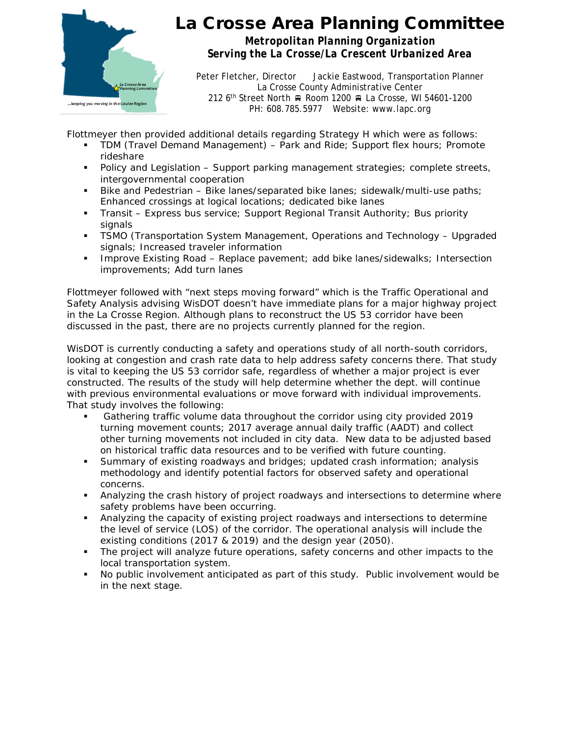

*Metropolitan Planning Organization Serving the La Crosse/La Crescent Urbanized Area*

Peter Fletcher, Director Jackie Eastwood, Transportation Planner La Crosse County Administrative Center 212 6<sup>th</sup> Street North A Room 1200 A La Crosse, WI 54601-1200 PH: 608.785.5977 Website: www.lapc.org

Flottmeyer then provided additional details regarding Strategy H which were as follows:

- TDM (Travel Demand Management) Park and Ride; Support flex hours; Promote rideshare
- **Policy and Legislation Support parking management strategies; complete streets,** intergovernmental cooperation
- Bike and Pedestrian Bike lanes/separated bike lanes; sidewalk/multi-use paths; Enhanced crossings at logical locations; dedicated bike lanes
- Transit Express bus service; Support Regional Transit Authority; Bus priority signals
- TSMO (Transportation System Management, Operations and Technology Upgraded signals; Increased traveler information
- **IMPROVE EXISTING ROAD Replace pavement; add bike lanes/sidewalks; Intersection** improvements; Add turn lanes

Flottmeyer followed with "next steps moving forward" which is the Traffic Operational and Safety Analysis advising WisDOT doesn't have immediate plans for a major highway project in the La Crosse Region. Although plans to reconstruct the US 53 corridor have been discussed in the past, there are no projects currently planned for the region.

WisDOT is currently conducting a safety and operations study of all north-south corridors, looking at congestion and crash rate data to help address safety concerns there. That study is vital to keeping the US 53 corridor safe, regardless of whether a major project is ever constructed. The results of the study will help determine whether the dept. will continue with previous environmental evaluations or move forward with individual improvements. That study involves the following:

- Gathering traffic volume data throughout the corridor using city provided 2019 turning movement counts; 2017 average annual daily traffic (AADT) and collect other turning movements not included in city data. New data to be adjusted based on historical traffic data resources and to be verified with future counting.
- Summary of existing roadways and bridges; updated crash information; analysis methodology and identify potential factors for observed safety and operational concerns.
- Analyzing the crash history of project roadways and intersections to determine where safety problems have been occurring.
- Analyzing the capacity of existing project roadways and intersections to determine the level of service (LOS) of the corridor. The operational analysis will include the existing conditions (2017 & 2019) and the design year (2050).
- The project will analyze future operations, safety concerns and other impacts to the local transportation system.
- No public involvement anticipated as part of this study. Public involvement would be in the next stage.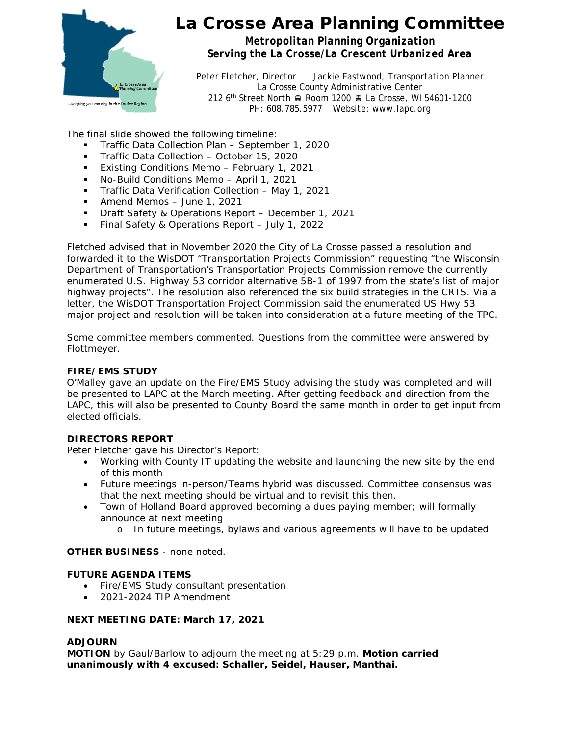

*Metropolitan Planning Organization Serving the La Crosse/La Crescent Urbanized Area*

Peter Fletcher, Director Jackie Eastwood, Transportation Planner La Crosse County Administrative Center 212 6<sup>th</sup> Street North A Room 1200 A La Crosse, WI 54601-1200 PH: 608.785.5977 Website: www.lapc.org

The final slide showed the following timeline:

- **Traffic Data Collection Plan September 1, 2020**
- **Traffic Data Collection October 15, 2020**
- **Existing Conditions Memo February 1, 2021**
- No-Build Conditions Memo April 1, 2021
- **Traffic Data Verification Collection May 1, 2021**
- Amend Memos June 1, 2021
- **Draft Safety & Operations Report December 1, 2021**
- **Final Safety & Operations Report July 1, 2022**

Fletched advised that in November 2020 the City of La Crosse passed a resolution and forwarded it to the WisDOT "Transportation Projects Commission" requesting "the Wisconsin Department of Transportation's Transportation Projects Commission remove the currently enumerated U.S. Highway 53 corridor alternative 5B-1 of 1997 from the state's list of major highway projects". The resolution also referenced the six build strategies in the CRTS. Via a letter, the WisDOT Transportation Project Commission said the enumerated US Hwy 53 major project and resolution will be taken into consideration at a future meeting of the TPC.

Some committee members commented. Questions from the committee were answered by Flottmeyer.

### **FIRE/EMS STUDY**

O'Malley gave an update on the Fire/EMS Study advising the study was completed and will be presented to LAPC at the March meeting. After getting feedback and direction from the LAPC, this will also be presented to County Board the same month in order to get input from elected officials.

### **DIRECTORS REPORT**

Peter Fletcher gave his Director's Report:

- Working with County IT updating the website and launching the new site by the end of this month
- Future meetings in-person/Teams hybrid was discussed. Committee consensus was that the next meeting should be virtual and to revisit this then.
- Town of Holland Board approved becoming a dues paying member; will formally announce at next meeting
	- o In future meetings, bylaws and various agreements will have to be updated

### **OTHER BUSINESS** - none noted.

### **FUTURE AGENDA ITEMS**

- Fire/EMS Study consultant presentation
- 2021-2024 TIP Amendment

### **NEXT MEETING DATE: March 17, 2021**

#### **ADJOURN**

**MOTION** by Gaul/Barlow to adjourn the meeting at 5:29 p.m. **Motion carried unanimously with 4 excused: Schaller, Seidel, Hauser, Manthai.**